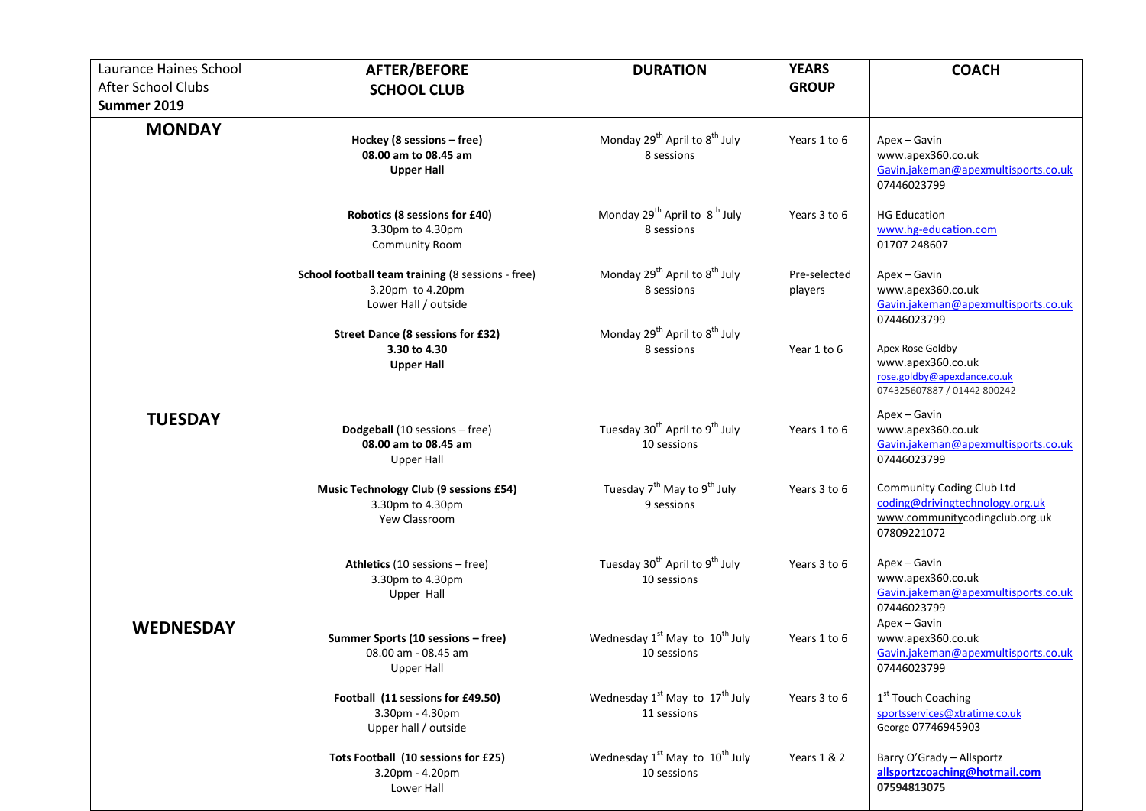| Laurance Haines School            | <b>AFTER/BEFORE</b>                                                                           | <b>DURATION</b>                                                       | <b>YEARS</b>            | <b>COACH</b>                                                                                                  |
|-----------------------------------|-----------------------------------------------------------------------------------------------|-----------------------------------------------------------------------|-------------------------|---------------------------------------------------------------------------------------------------------------|
| After School Clubs<br>Summer 2019 | <b>SCHOOL CLUB</b>                                                                            |                                                                       | <b>GROUP</b>            |                                                                                                               |
| <b>MONDAY</b>                     | Hockey (8 sessions - free)<br>08.00 am to 08.45 am<br><b>Upper Hall</b>                       | Monday 29 <sup>th</sup> April to 8 <sup>th</sup> July<br>8 sessions   | Years 1 to 6            | Apex - Gavin<br>www.apex360.co.uk<br>Gavin.jakeman@apexmultisports.co.uk<br>07446023799                       |
|                                   | Robotics (8 sessions for £40)<br>3.30pm to 4.30pm<br><b>Community Room</b>                    | Monday 29 <sup>th</sup> April to 8 <sup>th</sup> July<br>8 sessions   | Years 3 to 6            | <b>HG Education</b><br>www.hg-education.com<br>01707 248607                                                   |
|                                   | School football team training (8 sessions - free)<br>3.20pm to 4.20pm<br>Lower Hall / outside | Monday 29 <sup>th</sup> April to 8 <sup>th</sup> July<br>8 sessions   | Pre-selected<br>players | Apex - Gavin<br>www.apex360.co.uk<br>Gavin.jakeman@apexmultisports.co.uk<br>07446023799                       |
|                                   | <b>Street Dance (8 sessions for £32)</b><br>3.30 to 4.30<br><b>Upper Hall</b>                 | Monday 29 <sup>th</sup> April to 8 <sup>th</sup> July<br>8 sessions   | Year 1 to 6             | Apex Rose Goldby<br>www.apex360.co.uk<br>rose.goldby@apexdance.co.uk<br>074325607887 / 01442 800242           |
| <b>TUESDAY</b>                    | Dodgeball (10 sessions - free)<br>08.00 am to 08.45 am<br><b>Upper Hall</b>                   | Tuesday 30 <sup>th</sup> April to 9 <sup>th</sup> July<br>10 sessions | Years 1 to 6            | Apex - Gavin<br>www.apex360.co.uk<br>Gavin.jakeman@apexmultisports.co.uk<br>07446023799                       |
|                                   | Music Technology Club (9 sessions £54)<br>3.30pm to 4.30pm<br>Yew Classroom                   | Tuesday 7 <sup>th</sup> May to 9 <sup>th</sup> July<br>9 sessions     | Years 3 to 6            | Community Coding Club Ltd<br>coding@drivingtechnology.org.uk<br>www.communitycodingclub.org.uk<br>07809221072 |
|                                   | Athletics (10 sessions - free)<br>3.30pm to 4.30pm<br>Upper Hall                              | Tuesday 30 <sup>th</sup> April to 9 <sup>th</sup> July<br>10 sessions | Years 3 to 6            | Apex - Gavin<br>www.apex360.co.uk<br>Gavin.jakeman@apexmultisports.co.uk<br>07446023799                       |
| <b>WEDNESDAY</b>                  | Summer Sports (10 sessions - free)<br>08.00 am - 08.45 am<br><b>Upper Hall</b>                | Wednesday $1^{st}$ May to $10^{th}$ July<br>10 sessions               | Years 1 to 6            | Apex - Gavin<br>www.apex360.co.uk<br>Gavin.jakeman@apexmultisports.co.uk<br>07446023799                       |
|                                   | Football (11 sessions for £49.50)<br>3.30pm - 4.30pm<br>Upper hall / outside                  | Wednesday $1^{st}$ May to $17^{th}$ July<br>11 sessions               | Years 3 to 6            | 1 <sup>st</sup> Touch Coaching<br>sportsservices@xtratime.co.uk<br>George 07746945903                         |
|                                   | Tots Football (10 sessions for £25)<br>3.20pm - 4.20pm<br>Lower Hall                          | Wednesday $1^{st}$ May to $10^{th}$ July<br>10 sessions               | Years 1 & 2             | Barry O'Grady - Allsportz<br>allsportzcoaching@hotmail.com<br>07594813075                                     |